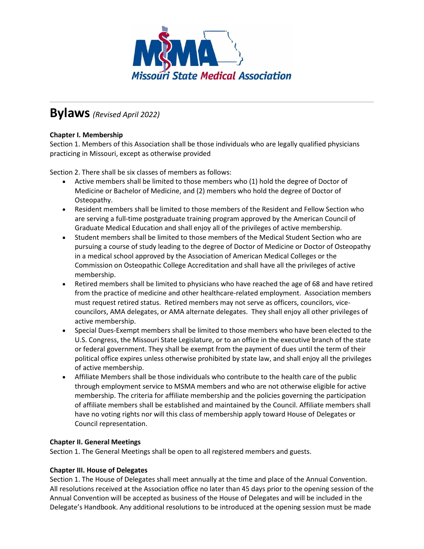

# **Bylaws***(Revised April 2022)*

# **Chapter I. Membership**

Section 1. Members of this Association shall be those individuals who are legally qualified physicians practicing in Missouri, except as otherwise provided

Section 2. There shall be six classes of members as follows:

- Active members shall be limited to those members who (1) hold the degree of Doctor of Medicine or Bachelor of Medicine, and (2) members who hold the degree of Doctor of Osteopathy.
- Resident members shall be limited to those members of the Resident and Fellow Section who are serving a full-time postgraduate training program approved by the American Council of Graduate Medical Education and shall enjoy all of the privileges of active membership.
- Student members shall be limited to those members of the Medical Student Section who are pursuing a course of study leading to the degree of Doctor of Medicine or Doctor of Osteopathy in a medical school approved by the Association of American Medical Colleges or the Commission on Osteopathic College Accreditation and shall have all the privileges of active membership.
- Retired members shall be limited to physicians who have reached the age of 68 and have retired from the practice of medicine and other healthcare-related employment. Association members must request retired status. Retired members may not serve as officers, councilors, vicecouncilors, AMA delegates, or AMA alternate delegates. They shall enjoy all other privileges of active membership.
- Special Dues-Exempt members shall be limited to those members who have been elected to the U.S. Congress, the Missouri State Legislature, or to an office in the executive branch of the state or federal government. They shall be exempt from the payment of dues until the term of their political office expires unless otherwise prohibited by state law, and shall enjoy all the privileges of active membership.
- Affiliate Members shall be those individuals who contribute to the health care of the public through employment service to MSMA members and who are not otherwise eligible for active membership. The criteria for affiliate membership and the policies governing the participation of affiliate members shall be established and maintained by the Council. Affiliate members shall have no voting rights nor will this class of membership apply toward House of Delegates or Council representation.

### **Chapter II. General Meetings**

Section 1. The General Meetings shall be open to all registered members and guests.

### **Chapter III. House of Delegates**

Section 1. The House of Delegates shall meet annually at the time and place of the Annual Convention. All resolutions received at the Association office no later than 45 days prior to the opening session of the Annual Convention will be accepted as business of the House of Delegates and will be included in the Delegate's Handbook. Any additional resolutions to be introduced at the opening session must be made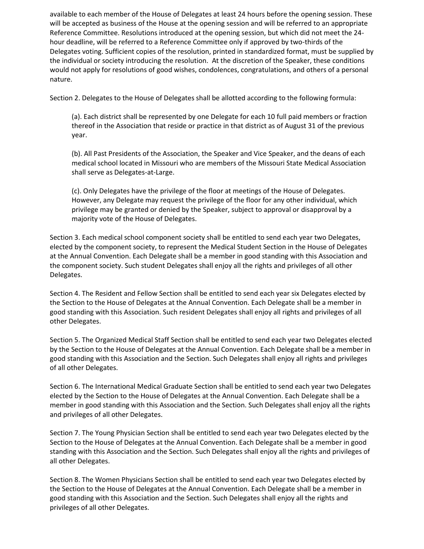available to each member of the House of Delegates at least 24 hours before the opening session. These will be accepted as business of the House at the opening session and will be referred to an appropriate Reference Committee. Resolutions introduced at the opening session, but which did not meet the 24 hour deadline, will be referred to a Reference Committee only if approved by two-thirds of the Delegates voting. Sufficient copies of the resolution, printed in standardized format, must be supplied by the individual or society introducing the resolution. At the discretion of the Speaker, these conditions would not apply for resolutions of good wishes, condolences, congratulations, and others of a personal nature.

Section 2. Delegates to the House of Delegates shall be allotted according to the following formula:

(a). Each district shall be represented by one Delegate for each 10 full paid members or fraction thereof in the Association that reside or practice in that district as of August 31 of the previous year.

(b). All Past Presidents of the Association, the Speaker and Vice Speaker, and the deans of each medical school located in Missouri who are members of the Missouri State Medical Association shall serve as Delegates-at-Large.

(c). Only Delegates have the privilege of the floor at meetings of the House of Delegates. However, any Delegate may request the privilege of the floor for any other individual, which privilege may be granted or denied by the Speaker, subject to approval or disapproval by a majority vote of the House of Delegates.

Section 3. Each medical school component society shall be entitled to send each year two Delegates, elected by the component society, to represent the Medical Student Section in the House of Delegates at the Annual Convention. Each Delegate shall be a member in good standing with this Association and the component society. Such student Delegates shall enjoy all the rights and privileges of all other Delegates.

Section 4. The Resident and Fellow Section shall be entitled to send each year six Delegates elected by the Section to the House of Delegates at the Annual Convention. Each Delegate shall be a member in good standing with this Association. Such resident Delegates shall enjoy all rights and privileges of all other Delegates.

Section 5. The Organized Medical Staff Section shall be entitled to send each year two Delegates elected by the Section to the House of Delegates at the Annual Convention. Each Delegate shall be a member in good standing with this Association and the Section. Such Delegates shall enjoy all rights and privileges of all other Delegates.

Section 6. The International Medical Graduate Section shall be entitled to send each year two Delegates elected by the Section to the House of Delegates at the Annual Convention. Each Delegate shall be a member in good standing with this Association and the Section. Such Delegates shall enjoy all the rights and privileges of all other Delegates.

Section 7. The Young Physician Section shall be entitled to send each year two Delegates elected by the Section to the House of Delegates at the Annual Convention. Each Delegate shall be a member in good standing with this Association and the Section. Such Delegates shall enjoy all the rights and privileges of all other Delegates.

Section 8. The Women Physicians Section shall be entitled to send each year two Delegates elected by the Section to the House of Delegates at the Annual Convention. Each Delegate shall be a member in good standing with this Association and the Section. Such Delegates shall enjoy all the rights and privileges of all other Delegates.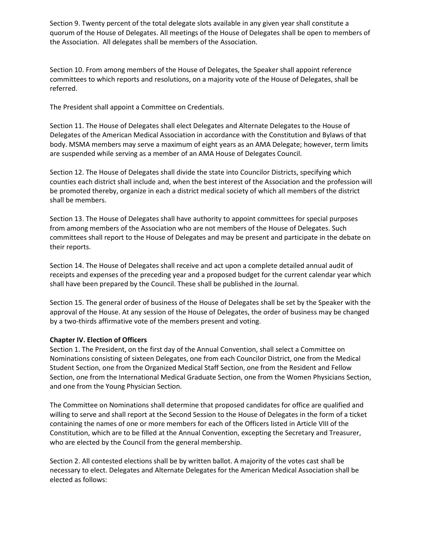Section 9. Twenty percent of the total delegate slots available in any given year shall constitute a quorum of the House of Delegates. All meetings of the House of Delegates shall be open to members of the Association. All delegates shall be members of the Association.

Section 10. From among members of the House of Delegates, the Speaker shall appoint reference committees to which reports and resolutions, on a majority vote of the House of Delegates, shall be referred.

The President shall appoint a Committee on Credentials.

Section 11. The House of Delegates shall elect Delegates and Alternate Delegates to the House of Delegates of the American Medical Association in accordance with the Constitution and Bylaws of that body. MSMA members may serve a maximum of eight years as an AMA Delegate; however, term limits are suspended while serving as a member of an AMA House of Delegates Council.

Section 12. The House of Delegates shall divide the state into Councilor Districts, specifying which counties each district shall include and, when the best interest of the Association and the profession will be promoted thereby, organize in each a district medical society of which all members of the district shall be members.

Section 13. The House of Delegates shall have authority to appoint committees for special purposes from among members of the Association who are not members of the House of Delegates. Such committees shall report to the House of Delegates and may be present and participate in the debate on their reports.

Section 14. The House of Delegates shall receive and act upon a complete detailed annual audit of receipts and expenses of the preceding year and a proposed budget for the current calendar year which shall have been prepared by the Council. These shall be published in the Journal.

Section 15. The general order of business of the House of Delegates shall be set by the Speaker with the approval of the House. At any session of the House of Delegates, the order of business may be changed by a two-thirds affirmative vote of the members present and voting.

### **Chapter IV. Election of Officers**

Section 1. The President, on the first day of the Annual Convention, shall select a Committee on Nominations consisting of sixteen Delegates, one from each Councilor District, one from the Medical Student Section, one from the Organized Medical Staff Section, one from the Resident and Fellow Section, one from the International Medical Graduate Section, one from the Women Physicians Section, and one from the Young Physician Section.

The Committee on Nominations shall determine that proposed candidates for office are qualified and willing to serve and shall report at the Second Session to the House of Delegates in the form of a ticket containing the names of one or more members for each of the Officers listed in Article VIII of the Constitution, which are to be filled at the Annual Convention, excepting the Secretary and Treasurer, who are elected by the Council from the general membership.

Section 2. All contested elections shall be by written ballot. A majority of the votes cast shall be necessary to elect. Delegates and Alternate Delegates for the American Medical Association shall be elected as follows: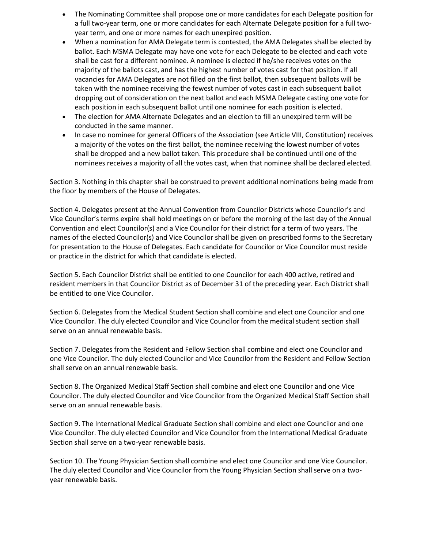- The Nominating Committee shall propose one or more candidates for each Delegate position for a full two-year term, one or more candidates for each Alternate Delegate position for a full twoyear term, and one or more names for each unexpired position.
- When a nomination for AMA Delegate term is contested, the AMA Delegates shall be elected by ballot. Each MSMA Delegate may have one vote for each Delegate to be elected and each vote shall be cast for a different nominee. A nominee is elected if he/she receives votes on the majority of the ballots cast, and has the highest number of votes cast for that position. If all vacancies for AMA Delegates are not filled on the first ballot, then subsequent ballots will be taken with the nominee receiving the fewest number of votes cast in each subsequent ballot dropping out of consideration on the next ballot and each MSMA Delegate casting one vote for each position in each subsequent ballot until one nominee for each position is elected.
- The election for AMA Alternate Delegates and an election to fill an unexpired term will be conducted in the same manner.
- In case no nominee for general Officers of the Association (see Article VIII, Constitution) receives a majority of the votes on the first ballot, the nominee receiving the lowest number of votes shall be dropped and a new ballot taken. This procedure shall be continued until one of the nominees receives a majority of all the votes cast, when that nominee shall be declared elected.

Section 3. Nothing in this chapter shall be construed to prevent additional nominations being made from the floor by members of the House of Delegates.

Section 4. Delegates present at the Annual Convention from Councilor Districts whose Councilor's and Vice Councilor's terms expire shall hold meetings on or before the morning of the last day of the Annual Convention and elect Councilor(s) and a Vice Councilor for their district for a term of two years. The names of the elected Councilor(s) and Vice Councilor shall be given on prescribed forms to the Secretary for presentation to the House of Delegates. Each candidate for Councilor or Vice Councilor must reside or practice in the district for which that candidate is elected.

Section 5. Each Councilor District shall be entitled to one Councilor for each 400 active, retired and resident members in that Councilor District as of December 31 of the preceding year. Each District shall be entitled to one Vice Councilor.

Section 6. Delegates from the Medical Student Section shall combine and elect one Councilor and one Vice Councilor. The duly elected Councilor and Vice Councilor from the medical student section shall serve on an annual renewable basis.

Section 7. Delegates from the Resident and Fellow Section shall combine and elect one Councilor and one Vice Councilor. The duly elected Councilor and Vice Councilor from the Resident and Fellow Section shall serve on an annual renewable basis.

Section 8. The Organized Medical Staff Section shall combine and elect one Councilor and one Vice Councilor. The duly elected Councilor and Vice Councilor from the Organized Medical Staff Section shall serve on an annual renewable basis.

Section 9. The International Medical Graduate Section shall combine and elect one Councilor and one Vice Councilor. The duly elected Councilor and Vice Councilor from the International Medical Graduate Section shall serve on a two-year renewable basis.

Section 10. The Young Physician Section shall combine and elect one Councilor and one Vice Councilor. The duly elected Councilor and Vice Councilor from the Young Physician Section shall serve on a twoyear renewable basis.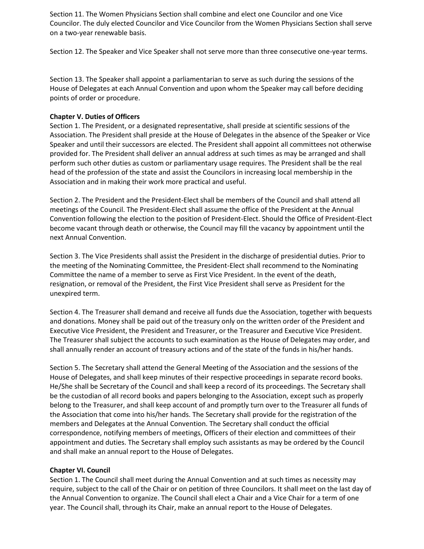Section 11. The Women Physicians Section shall combine and elect one Councilor and one Vice Councilor. The duly elected Councilor and Vice Councilor from the Women Physicians Section shall serve on a two-year renewable basis.

Section 12. The Speaker and Vice Speaker shall not serve more than three consecutive one-year terms.

Section 13. The Speaker shall appoint a parliamentarian to serve as such during the sessions of the House of Delegates at each Annual Convention and upon whom the Speaker may call before deciding points of order or procedure.

#### **Chapter V. Duties of Officers**

Section 1. The President, or a designated representative, shall preside at scientific sessions of the Association. The President shall preside at the House of Delegates in the absence of the Speaker or Vice Speaker and until their successors are elected. The President shall appoint all committees not otherwise provided for. The President shall deliver an annual address at such times as may be arranged and shall perform such other duties as custom or parliamentary usage requires. The President shall be the real head of the profession of the state and assist the Councilors in increasing local membership in the Association and in making their work more practical and useful.

Section 2. The President and the President-Elect shall be members of the Council and shall attend all meetings of the Council. The President-Elect shall assume the office of the President at the Annual Convention following the election to the position of President-Elect. Should the Office of President-Elect become vacant through death or otherwise, the Council may fill the vacancy by appointment until the next Annual Convention.

Section 3. The Vice Presidents shall assist the President in the discharge of presidential duties. Prior to the meeting of the Nominating Committee, the President-Elect shall recommend to the Nominating Committee the name of a member to serve as First Vice President. In the event of the death, resignation, or removal of the President, the First Vice President shall serve as President for the unexpired term.

Section 4. The Treasurer shall demand and receive all funds due the Association, together with bequests and donations. Money shall be paid out of the treasury only on the written order of the President and Executive Vice President, the President and Treasurer, or the Treasurer and Executive Vice President. The Treasurer shall subject the accounts to such examination as the House of Delegates may order, and shall annually render an account of treasury actions and of the state of the funds in his/her hands.

Section 5. The Secretary shall attend the General Meeting of the Association and the sessions of the House of Delegates, and shall keep minutes of their respective proceedings in separate record books. He/She shall be Secretary of the Council and shall keep a record of its proceedings. The Secretary shall be the custodian of all record books and papers belonging to the Association, except such as properly belong to the Treasurer, and shall keep account of and promptly turn over to the Treasurer all funds of the Association that come into his/her hands. The Secretary shall provide for the registration of the members and Delegates at the Annual Convention. The Secretary shall conduct the official correspondence, notifying members of meetings, Officers of their election and committees of their appointment and duties. The Secretary shall employ such assistants as may be ordered by the Council and shall make an annual report to the House of Delegates.

#### **Chapter VI. Council**

Section 1. The Council shall meet during the Annual Convention and at such times as necessity may require, subject to the call of the Chair or on petition of three Councilors. It shall meet on the last day of the Annual Convention to organize. The Council shall elect a Chair and a Vice Chair for a term of one year. The Council shall, through its Chair, make an annual report to the House of Delegates.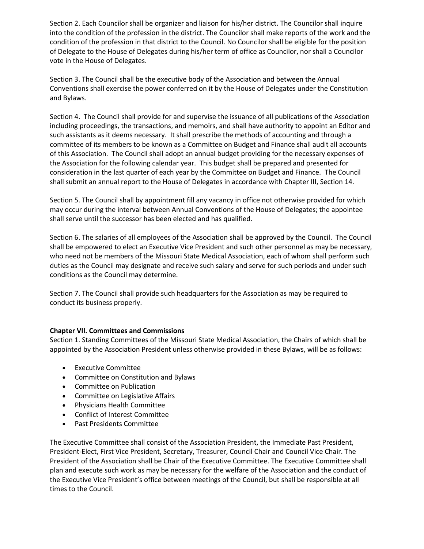Section 2. Each Councilor shall be organizer and liaison for his/her district. The Councilor shall inquire into the condition of the profession in the district. The Councilor shall make reports of the work and the condition of the profession in that district to the Council. No Councilor shall be eligible for the position of Delegate to the House of Delegates during his/her term of office as Councilor, nor shall a Councilor vote in the House of Delegates.

Section 3. The Council shall be the executive body of the Association and between the Annual Conventions shall exercise the power conferred on it by the House of Delegates under the Constitution and Bylaws.

Section 4. The Council shall provide for and supervise the issuance of all publications of the Association including proceedings, the transactions, and memoirs, and shall have authority to appoint an Editor and such assistants as it deems necessary. It shall prescribe the methods of accounting and through a committee of its members to be known as a Committee on Budget and Finance shall audit all accounts of this Association. The Council shall adopt an annual budget providing for the necessary expenses of the Association for the following calendar year. This budget shall be prepared and presented for consideration in the last quarter of each year by the Committee on Budget and Finance. The Council shall submit an annual report to the House of Delegates in accordance with Chapter III, Section 14.

Section 5. The Council shall by appointment fill any vacancy in office not otherwise provided for which may occur during the interval between Annual Conventions of the House of Delegates; the appointee shall serve until the successor has been elected and has qualified.

Section 6. The salaries of all employees of the Association shall be approved by the Council. The Council shall be empowered to elect an Executive Vice President and such other personnel as may be necessary, who need not be members of the Missouri State Medical Association, each of whom shall perform such duties as the Council may designate and receive such salary and serve for such periods and under such conditions as the Council may determine.

Section 7. The Council shall provide such headquarters for the Association as may be required to conduct its business properly.

### **Chapter VII. Committees and Commissions**

Section 1. Standing Committees of the Missouri State Medical Association, the Chairs of which shall be appointed by the Association President unless otherwise provided in these Bylaws, will be as follows:

- Executive Committee
- Committee on Constitution and Bylaws
- Committee on Publication
- Committee on Legislative Affairs
- Physicians Health Committee
- Conflict of Interest Committee
- Past Presidents Committee

The Executive Committee shall consist of the Association President, the Immediate Past President, President-Elect, First Vice President, Secretary, Treasurer, Council Chair and Council Vice Chair. The President of the Association shall be Chair of the Executive Committee. The Executive Committee shall plan and execute such work as may be necessary for the welfare of the Association and the conduct of the Executive Vice President's office between meetings of the Council, but shall be responsible at all times to the Council.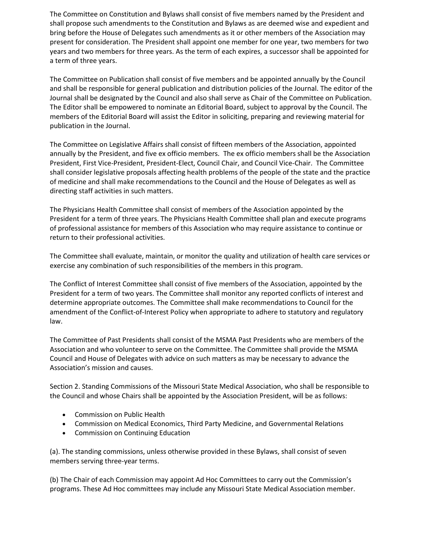The Committee on Constitution and Bylaws shall consist of five members named by the President and shall propose such amendments to the Constitution and Bylaws as are deemed wise and expedient and bring before the House of Delegates such amendments as it or other members of the Association may present for consideration. The President shall appoint one member for one year, two members for two years and two members for three years. As the term of each expires, a successor shall be appointed for a term of three years.

The Committee on Publication shall consist of five members and be appointed annually by the Council and shall be responsible for general publication and distribution policies of the Journal. The editor of the Journal shall be designated by the Council and also shall serve as Chair of the Committee on Publication. The Editor shall be empowered to nominate an Editorial Board, subject to approval by the Council. The members of the Editorial Board will assist the Editor in soliciting, preparing and reviewing material for publication in the Journal.

The Committee on Legislative Affairs shall consist of fifteen members of the Association, appointed annually by the President, and five ex officio members. The ex officio members shall be the Association President, First Vice-President, President-Elect, Council Chair, and Council Vice-Chair. The Committee shall consider legislative proposals affecting health problems of the people of the state and the practice of medicine and shall make recommendations to the Council and the House of Delegates as well as directing staff activities in such matters.

The Physicians Health Committee shall consist of members of the Association appointed by the President for a term of three years. The Physicians Health Committee shall plan and execute programs of professional assistance for members of this Association who may require assistance to continue or return to their professional activities.

The Committee shall evaluate, maintain, or monitor the quality and utilization of health care services or exercise any combination of such responsibilities of the members in this program.

The Conflict of Interest Committee shall consist of five members of the Association, appointed by the President for a term of two years. The Committee shall monitor any reported conflicts of interest and determine appropriate outcomes. The Committee shall make recommendations to Council for the amendment of the Conflict-of-Interest Policy when appropriate to adhere to statutory and regulatory law.

The Committee of Past Presidents shall consist of the MSMA Past Presidents who are members of the Association and who volunteer to serve on the Committee. The Committee shall provide the MSMA Council and House of Delegates with advice on such matters as may be necessary to advance the Association's mission and causes.

Section 2. Standing Commissions of the Missouri State Medical Association, who shall be responsible to the Council and whose Chairs shall be appointed by the Association President, will be as follows:

- Commission on Public Health
- Commission on Medical Economics, Third Party Medicine, and Governmental Relations
- Commission on Continuing Education

(a). The standing commissions, unless otherwise provided in these Bylaws, shall consist of seven members serving three-year terms.

(b) The Chair of each Commission may appoint Ad Hoc Committees to carry out the Commission's programs. These Ad Hoc committees may include any Missouri State Medical Association member.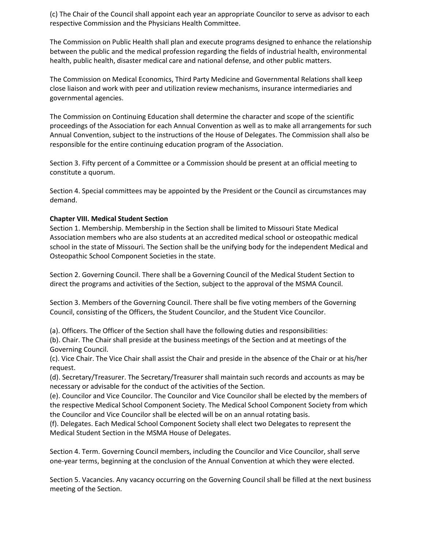(c) The Chair of the Council shall appoint each year an appropriate Councilor to serve as advisor to each respective Commission and the Physicians Health Committee.

The Commission on Public Health shall plan and execute programs designed to enhance the relationship between the public and the medical profession regarding the fields of industrial health, environmental health, public health, disaster medical care and national defense, and other public matters.

The Commission on Medical Economics, Third Party Medicine and Governmental Relations shall keep close liaison and work with peer and utilization review mechanisms, insurance intermediaries and governmental agencies.

The Commission on Continuing Education shall determine the character and scope of the scientific proceedings of the Association for each Annual Convention as well as to make all arrangements for such Annual Convention, subject to the instructions of the House of Delegates. The Commission shall also be responsible for the entire continuing education program of the Association.

Section 3. Fifty percent of a Committee or a Commission should be present at an official meeting to constitute a quorum.

Section 4. Special committees may be appointed by the President or the Council as circumstances may demand.

#### **Chapter VIII. Medical Student Section**

Section 1. Membership. Membership in the Section shall be limited to Missouri State Medical Association members who are also students at an accredited medical school or osteopathic medical school in the state of Missouri. The Section shall be the unifying body for the independent Medical and Osteopathic School Component Societies in the state.

Section 2. Governing Council. There shall be a Governing Council of the Medical Student Section to direct the programs and activities of the Section, subject to the approval of the MSMA Council.

Section 3. Members of the Governing Council. There shall be five voting members of the Governing Council, consisting of the Officers, the Student Councilor, and the Student Vice Councilor.

(a). Officers. The Officer of the Section shall have the following duties and responsibilities:

(b). Chair. The Chair shall preside at the business meetings of the Section and at meetings of the Governing Council.

(c). Vice Chair. The Vice Chair shall assist the Chair and preside in the absence of the Chair or at his/her request.

(d). Secretary/Treasurer. The Secretary/Treasurer shall maintain such records and accounts as may be necessary or advisable for the conduct of the activities of the Section.

(e). Councilor and Vice Councilor. The Councilor and Vice Councilor shall be elected by the members of the respective Medical School Component Society. The Medical School Component Society from which the Councilor and Vice Councilor shall be elected will be on an annual rotating basis.

(f). Delegates. Each Medical School Component Society shall elect two Delegates to represent the Medical Student Section in the MSMA House of Delegates.

Section 4. Term. Governing Council members, including the Councilor and Vice Councilor, shall serve one-year terms, beginning at the conclusion of the Annual Convention at which they were elected.

Section 5. Vacancies. Any vacancy occurring on the Governing Council shall be filled at the next business meeting of the Section.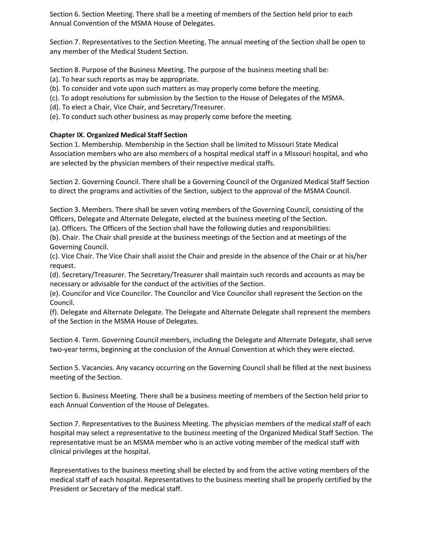Section 6. Section Meeting. There shall be a meeting of members of the Section held prior to each Annual Convention of the MSMA House of Delegates.

Section 7. Representatives to the Section Meeting. The annual meeting of the Section shall be open to any member of the Medical Student Section.

Section 8. Purpose of the Business Meeting. The purpose of the business meeting shall be:

- (a). To hear such reports as may be appropriate.
- (b). To consider and vote upon such matters as may properly come before the meeting.
- (c). To adopt resolutions for submission by the Section to the House of Delegates of the MSMA.
- (d). To elect a Chair, Vice Chair, and Secretary/Treasurer.
- (e). To conduct such other business as may properly come before the meeting.

# **Chapter IX. Organized Medical Staff Section**

Section 1. Membership. Membership in the Section shall be limited to Missouri State Medical Association members who are also members of a hospital medical staff in a Missouri hospital, and who are selected by the physician members of their respective medical staffs.

Section 2. Governing Council. There shall be a Governing Council of the Organized Medical Staff Section to direct the programs and activities of the Section, subject to the approval of the MSMA Council.

Section 3. Members. There shall be seven voting members of the Governing Council, consisting of the Officers, Delegate and Alternate Delegate, elected at the business meeting of the Section.

(a). Officers. The Officers of the Section shall have the following duties and responsibilities:

(b). Chair. The Chair shall preside at the business meetings of the Section and at meetings of the Governing Council.

(c). Vice Chair. The Vice Chair shall assist the Chair and preside in the absence of the Chair or at his/her request.

(d). Secretary/Treasurer. The Secretary/Treasurer shall maintain such records and accounts as may be necessary or advisable for the conduct of the activities of the Section.

(e). Councilor and Vice Councilor. The Councilor and Vice Councilor shall represent the Section on the Council.

(f). Delegate and Alternate Delegate. The Delegate and Alternate Delegate shall represent the members of the Section in the MSMA House of Delegates.

Section 4. Term. Governing Council members, including the Delegate and Alternate Delegate, shall serve two-year terms, beginning at the conclusion of the Annual Convention at which they were elected.

Section 5. Vacancies. Any vacancy occurring on the Governing Council shall be filled at the next business meeting of the Section.

Section 6. Business Meeting. There shall be a business meeting of members of the Section held prior to each Annual Convention of the House of Delegates.

Section 7. Representatives to the Business Meeting. The physician members of the medical staff of each hospital may select a representative to the business meeting of the Organized Medical Staff Section. The representative must be an MSMA member who is an active voting member of the medical staff with clinical privileges at the hospital.

Representatives to the business meeting shall be elected by and from the active voting members of the medical staff of each hospital. Representatives to the business meeting shall be properly certified by the President or Secretary of the medical staff.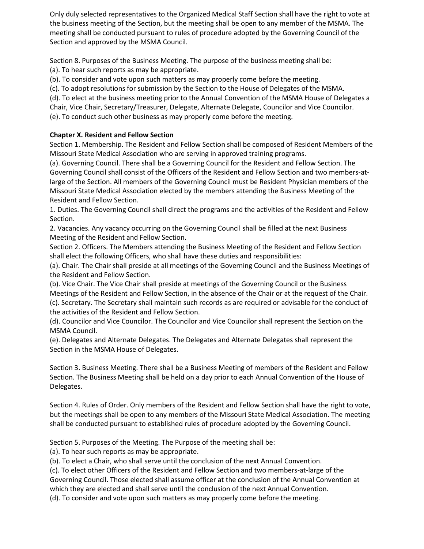Only duly selected representatives to the Organized Medical Staff Section shall have the right to vote at the business meeting of the Section, but the meeting shall be open to any member of the MSMA. The meeting shall be conducted pursuant to rules of procedure adopted by the Governing Council of the Section and approved by the MSMA Council.

Section 8. Purposes of the Business Meeting. The purpose of the business meeting shall be:

(a). To hear such reports as may be appropriate.

(b). To consider and vote upon such matters as may properly come before the meeting.

(c). To adopt resolutions for submission by the Section to the House of Delegates of the MSMA.

(d). To elect at the business meeting prior to the Annual Convention of the MSMA House of Delegates a Chair, Vice Chair, Secretary/Treasurer, Delegate, Alternate Delegate, Councilor and Vice Councilor. (e). To conduct such other business as may properly come before the meeting.

# **Chapter X. Resident and Fellow Section**

Section 1. Membership. The Resident and Fellow Section shall be composed of Resident Members of the Missouri State Medical Association who are serving in approved training programs.

(a). Governing Council. There shall be a Governing Council for the Resident and Fellow Section. The Governing Council shall consist of the Officers of the Resident and Fellow Section and two members-atlarge of the Section. All members of the Governing Council must be Resident Physician members of the Missouri State Medical Association elected by the members attending the Business Meeting of the Resident and Fellow Section.

1. Duties. The Governing Council shall direct the programs and the activities of the Resident and Fellow Section.

2. Vacancies. Any vacancy occurring on the Governing Council shall be filled at the next Business Meeting of the Resident and Fellow Section.

Section 2. Officers. The Members attending the Business Meeting of the Resident and Fellow Section shall elect the following Officers, who shall have these duties and responsibilities:

(a). Chair. The Chair shall preside at all meetings of the Governing Council and the Business Meetings of the Resident and Fellow Section.

(b). Vice Chair. The Vice Chair shall preside at meetings of the Governing Council or the Business Meetings of the Resident and Fellow Section, in the absence of the Chair or at the request of the Chair. (c). Secretary. The Secretary shall maintain such records as are required or advisable for the conduct of the activities of the Resident and Fellow Section.

(d). Councilor and Vice Councilor. The Councilor and Vice Councilor shall represent the Section on the MSMA Council.

(e). Delegates and Alternate Delegates. The Delegates and Alternate Delegates shall represent the Section in the MSMA House of Delegates.

Section 3. Business Meeting. There shall be a Business Meeting of members of the Resident and Fellow Section. The Business Meeting shall be held on a day prior to each Annual Convention of the House of Delegates.

Section 4. Rules of Order. Only members of the Resident and Fellow Section shall have the right to vote, but the meetings shall be open to any members of the Missouri State Medical Association. The meeting shall be conducted pursuant to established rules of procedure adopted by the Governing Council.

Section 5. Purposes of the Meeting. The Purpose of the meeting shall be:

(a). To hear such reports as may be appropriate.

(b). To elect a Chair, who shall serve until the conclusion of the next Annual Convention.

(c). To elect other Officers of the Resident and Fellow Section and two members-at-large of the Governing Council. Those elected shall assume officer at the conclusion of the Annual Convention at which they are elected and shall serve until the conclusion of the next Annual Convention. (d). To consider and vote upon such matters as may properly come before the meeting.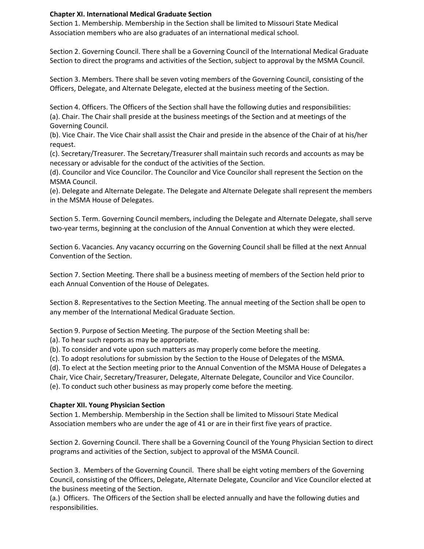### **Chapter XI. International Medical Graduate Section**

Section 1. Membership. Membership in the Section shall be limited to Missouri State Medical Association members who are also graduates of an international medical school.

Section 2. Governing Council. There shall be a Governing Council of the International Medical Graduate Section to direct the programs and activities of the Section, subject to approval by the MSMA Council.

Section 3. Members. There shall be seven voting members of the Governing Council, consisting of the Officers, Delegate, and Alternate Delegate, elected at the business meeting of the Section.

Section 4. Officers. The Officers of the Section shall have the following duties and responsibilities: (a). Chair. The Chair shall preside at the business meetings of the Section and at meetings of the Governing Council.

(b). Vice Chair. The Vice Chair shall assist the Chair and preside in the absence of the Chair of at his/her request.

(c). Secretary/Treasurer. The Secretary/Treasurer shall maintain such records and accounts as may be necessary or advisable for the conduct of the activities of the Section.

(d). Councilor and Vice Councilor. The Councilor and Vice Councilor shall represent the Section on the MSMA Council.

(e). Delegate and Alternate Delegate. The Delegate and Alternate Delegate shall represent the members in the MSMA House of Delegates.

Section 5. Term. Governing Council members, including the Delegate and Alternate Delegate, shall serve two-year terms, beginning at the conclusion of the Annual Convention at which they were elected.

Section 6. Vacancies. Any vacancy occurring on the Governing Council shall be filled at the next Annual Convention of the Section.

Section 7. Section Meeting. There shall be a business meeting of members of the Section held prior to each Annual Convention of the House of Delegates.

Section 8. Representatives to the Section Meeting. The annual meeting of the Section shall be open to any member of the International Medical Graduate Section.

Section 9. Purpose of Section Meeting. The purpose of the Section Meeting shall be:

(a). To hear such reports as may be appropriate.

(b). To consider and vote upon such matters as may properly come before the meeting.

(c). To adopt resolutions for submission by the Section to the House of Delegates of the MSMA.

(d). To elect at the Section meeting prior to the Annual Convention of the MSMA House of Delegates a Chair, Vice Chair, Secretary/Treasurer, Delegate, Alternate Delegate, Councilor and Vice Councilor.

(e). To conduct such other business as may properly come before the meeting.

#### **Chapter XII. Young Physician Section**

Section 1. Membership. Membership in the Section shall be limited to Missouri State Medical Association members who are under the age of 41 or are in their first five years of practice.

Section 2. Governing Council. There shall be a Governing Council of the Young Physician Section to direct programs and activities of the Section, subject to approval of the MSMA Council.

Section 3. Members of the Governing Council. There shall be eight voting members of the Governing Council, consisting of the Officers, Delegate, Alternate Delegate, Councilor and Vice Councilor elected at the business meeting of the Section.

(a.) Officers. The Officers of the Section shall be elected annually and have the following duties and responsibilities.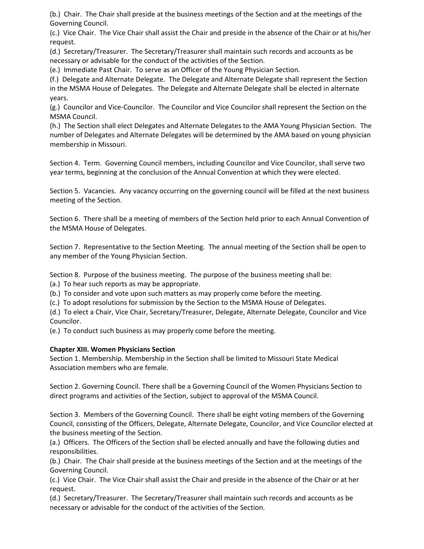(b.) Chair. The Chair shall preside at the business meetings of the Section and at the meetings of the Governing Council.

(c.) Vice Chair. The Vice Chair shall assist the Chair and preside in the absence of the Chair or at his/her request.

(d.) Secretary/Treasurer. The Secretary/Treasurer shall maintain such records and accounts as be necessary or advisable for the conduct of the activities of the Section.

(e.) Immediate Past Chair. To serve as an Officer of the Young Physician Section.

(f.) Delegate and Alternate Delegate. The Delegate and Alternate Delegate shall represent the Section in the MSMA House of Delegates. The Delegate and Alternate Delegate shall be elected in alternate years.

(g.) Councilor and Vice-Councilor. The Councilor and Vice Councilor shall represent the Section on the MSMA Council.

(h.) The Section shall elect Delegates and Alternate Delegates to the AMA Young Physician Section. The number of Delegates and Alternate Delegates will be determined by the AMA based on young physician membership in Missouri.

Section 4. Term. Governing Council members, including Councilor and Vice Councilor, shall serve two year terms, beginning at the conclusion of the Annual Convention at which they were elected.

Section 5. Vacancies. Any vacancy occurring on the governing council will be filled at the next business meeting of the Section.

Section 6. There shall be a meeting of members of the Section held prior to each Annual Convention of the MSMA House of Delegates.

Section 7. Representative to the Section Meeting. The annual meeting of the Section shall be open to any member of the Young Physician Section.

Section 8. Purpose of the business meeting. The purpose of the business meeting shall be:

(a.) To hear such reports as may be appropriate.

(b.) To consider and vote upon such matters as may properly come before the meeting.

(c.) To adopt resolutions for submission by the Section to the MSMA House of Delegates.

(d.) To elect a Chair, Vice Chair, Secretary/Treasurer, Delegate, Alternate Delegate, Councilor and Vice Councilor.

(e.) To conduct such business as may properly come before the meeting.

### **Chapter XIII. Women Physicians Section**

Section 1. Membership. Membership in the Section shall be limited to Missouri State Medical Association members who are female.

Section 2. Governing Council. There shall be a Governing Council of the Women Physicians Section to direct programs and activities of the Section, subject to approval of the MSMA Council.

Section 3. Members of the Governing Council. There shall be eight voting members of the Governing Council, consisting of the Officers, Delegate, Alternate Delegate, Councilor, and Vice Councilor elected at the business meeting of the Section.

(a.) Officers. The Officers of the Section shall be elected annually and have the following duties and responsibilities.

(b.) Chair. The Chair shall preside at the business meetings of the Section and at the meetings of the Governing Council.

(c.) Vice Chair. The Vice Chair shall assist the Chair and preside in the absence of the Chair or at her request.

(d.) Secretary/Treasurer. The Secretary/Treasurer shall maintain such records and accounts as be necessary or advisable for the conduct of the activities of the Section.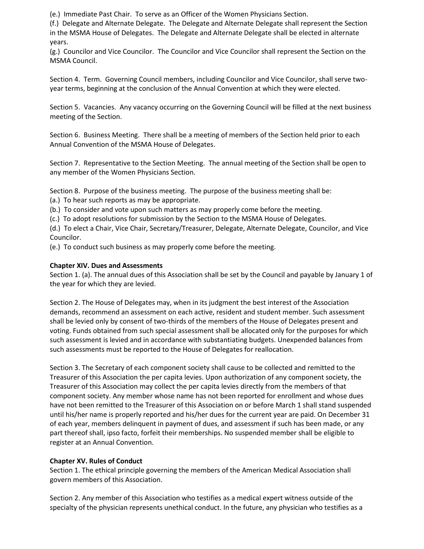(e.) Immediate Past Chair. To serve as an Officer of the Women Physicians Section.

(f.) Delegate and Alternate Delegate. The Delegate and Alternate Delegate shall represent the Section in the MSMA House of Delegates. The Delegate and Alternate Delegate shall be elected in alternate years.

(g.) Councilor and Vice Councilor. The Councilor and Vice Councilor shall represent the Section on the MSMA Council.

Section 4. Term. Governing Council members, including Councilor and Vice Councilor, shall serve twoyear terms, beginning at the conclusion of the Annual Convention at which they were elected.

Section 5. Vacancies. Any vacancy occurring on the Governing Council will be filled at the next business meeting of the Section.

Section 6. Business Meeting. There shall be a meeting of members of the Section held prior to each Annual Convention of the MSMA House of Delegates.

Section 7. Representative to the Section Meeting. The annual meeting of the Section shall be open to any member of the Women Physicians Section.

Section 8. Purpose of the business meeting. The purpose of the business meeting shall be:

(a.) To hear such reports as may be appropriate.

(b.) To consider and vote upon such matters as may properly come before the meeting.

(c.) To adopt resolutions for submission by the Section to the MSMA House of Delegates.

(d.) To elect a Chair, Vice Chair, Secretary/Treasurer, Delegate, Alternate Delegate, Councilor, and Vice Councilor.

(e.) To conduct such business as may properly come before the meeting.

# **Chapter XIV. Dues and Assessments**

Section 1. (a). The annual dues of this Association shall be set by the Council and payable by January 1 of the year for which they are levied.

Section 2. The House of Delegates may, when in its judgment the best interest of the Association demands, recommend an assessment on each active, resident and student member. Such assessment shall be levied only by consent of two-thirds of the members of the House of Delegates present and voting. Funds obtained from such special assessment shall be allocated only for the purposes for which such assessment is levied and in accordance with substantiating budgets. Unexpended balances from such assessments must be reported to the House of Delegates for reallocation.

Section 3. The Secretary of each component society shall cause to be collected and remitted to the Treasurer of this Association the per capita levies. Upon authorization of any component society, the Treasurer of this Association may collect the per capita levies directly from the members of that component society. Any member whose name has not been reported for enrollment and whose dues have not been remitted to the Treasurer of this Association on or before March 1 shall stand suspended until his/her name is properly reported and his/her dues for the current year are paid. On December 31 of each year, members delinquent in payment of dues, and assessment if such has been made, or any part thereof shall, ipso facto, forfeit their memberships. No suspended member shall be eligible to register at an Annual Convention.

### **Chapter XV. Rules of Conduct**

Section 1. The ethical principle governing the members of the American Medical Association shall govern members of this Association.

Section 2. Any member of this Association who testifies as a medical expert witness outside of the specialty of the physician represents unethical conduct. In the future, any physician who testifies as a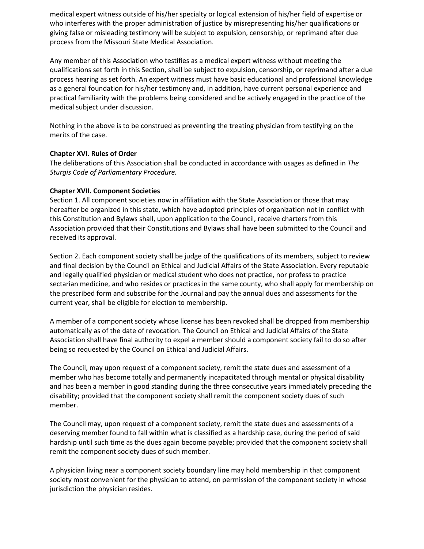medical expert witness outside of his/her specialty or logical extension of his/her field of expertise or who interferes with the proper administration of justice by misrepresenting his/her qualifications or giving false or misleading testimony will be subject to expulsion, censorship, or reprimand after due process from the Missouri State Medical Association.

Any member of this Association who testifies as a medical expert witness without meeting the qualifications set forth in this Section, shall be subject to expulsion, censorship, or reprimand after a due process hearing as set forth. An expert witness must have basic educational and professional knowledge as a general foundation for his/her testimony and, in addition, have current personal experience and practical familiarity with the problems being considered and be actively engaged in the practice of the medical subject under discussion.

Nothing in the above is to be construed as preventing the treating physician from testifying on the merits of the case.

### **Chapter XVI. Rules of Order**

The deliberations of this Association shall be conducted in accordance with usages as defined in *The Sturgis Code of Parliamentary Procedure.*

#### **Chapter XVII. Component Societies**

Section 1. All component societies now in affiliation with the State Association or those that may hereafter be organized in this state, which have adopted principles of organization not in conflict with this Constitution and Bylaws shall, upon application to the Council, receive charters from this Association provided that their Constitutions and Bylaws shall have been submitted to the Council and received its approval.

Section 2. Each component society shall be judge of the qualifications of its members, subject to review and final decision by the Council on Ethical and Judicial Affairs of the State Association. Every reputable and legally qualified physician or medical student who does not practice, nor profess to practice sectarian medicine, and who resides or practices in the same county, who shall apply for membership on the prescribed form and subscribe for the Journal and pay the annual dues and assessments for the current year, shall be eligible for election to membership.

A member of a component society whose license has been revoked shall be dropped from membership automatically as of the date of revocation. The Council on Ethical and Judicial Affairs of the State Association shall have final authority to expel a member should a component society fail to do so after being so requested by the Council on Ethical and Judicial Affairs.

The Council, may upon request of a component society, remit the state dues and assessment of a member who has become totally and permanently incapacitated through mental or physical disability and has been a member in good standing during the three consecutive years immediately preceding the disability; provided that the component society shall remit the component society dues of such member.

The Council may, upon request of a component society, remit the state dues and assessments of a deserving member found to fall within what is classified as a hardship case, during the period of said hardship until such time as the dues again become payable; provided that the component society shall remit the component society dues of such member.

A physician living near a component society boundary line may hold membership in that component society most convenient for the physician to attend, on permission of the component society in whose jurisdiction the physician resides.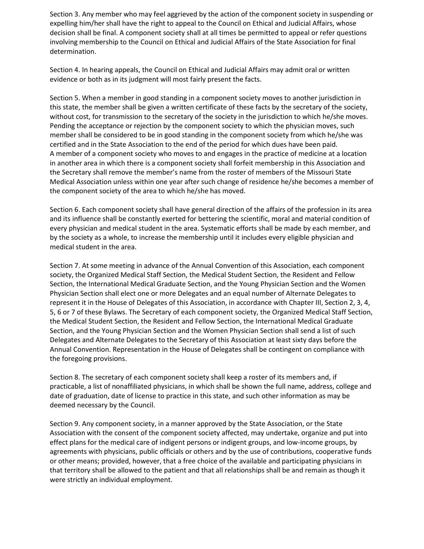Section 3. Any member who may feel aggrieved by the action of the component society in suspending or expelling him/her shall have the right to appeal to the Council on Ethical and Judicial Affairs, whose decision shall be final. A component society shall at all times be permitted to appeal or refer questions involving membership to the Council on Ethical and Judicial Affairs of the State Association for final determination.

Section 4. In hearing appeals, the Council on Ethical and Judicial Affairs may admit oral or written evidence or both as in its judgment will most fairly present the facts.

Section 5. When a member in good standing in a component society moves to another jurisdiction in this state, the member shall be given a written certificate of these facts by the secretary of the society, without cost, for transmission to the secretary of the society in the jurisdiction to which he/she moves. Pending the acceptance or rejection by the component society to which the physician moves, such member shall be considered to be in good standing in the component society from which he/she was certified and in the State Association to the end of the period for which dues have been paid. A member of a component society who moves to and engages in the practice of medicine at a location in another area in which there is a component society shall forfeit membership in this Association and the Secretary shall remove the member's name from the roster of members of the Missouri State Medical Association unless within one year after such change of residence he/she becomes a member of the component society of the area to which he/she has moved.

Section 6. Each component society shall have general direction of the affairs of the profession in its area and its influence shall be constantly exerted for bettering the scientific, moral and material condition of every physician and medical student in the area. Systematic efforts shall be made by each member, and by the society as a whole, to increase the membership until it includes every eligible physician and medical student in the area.

Section 7. At some meeting in advance of the Annual Convention of this Association, each component society, the Organized Medical Staff Section, the Medical Student Section, the Resident and Fellow Section, the International Medical Graduate Section, and the Young Physician Section and the Women Physician Section shall elect one or more Delegates and an equal number of Alternate Delegates to represent it in the House of Delegates of this Association, in accordance with Chapter III, Section 2, 3, 4, 5, 6 or 7 of these Bylaws. The Secretary of each component society, the Organized Medical Staff Section, the Medical Student Section, the Resident and Fellow Section, the International Medical Graduate Section, and the Young Physician Section and the Women Physician Section shall send a list of such Delegates and Alternate Delegates to the Secretary of this Association at least sixty days before the Annual Convention. Representation in the House of Delegates shall be contingent on compliance with the foregoing provisions.

Section 8. The secretary of each component society shall keep a roster of its members and, if practicable, a list of nonaffiliated physicians, in which shall be shown the full name, address, college and date of graduation, date of license to practice in this state, and such other information as may be deemed necessary by the Council.

Section 9. Any component society, in a manner approved by the State Association, or the State Association with the consent of the component society affected, may undertake, organize and put into effect plans for the medical care of indigent persons or indigent groups, and low-income groups, by agreements with physicians, public officials or others and by the use of contributions, cooperative funds or other means; provided, however, that a free choice of the available and participating physicians in that territory shall be allowed to the patient and that all relationships shall be and remain as though it were strictly an individual employment.